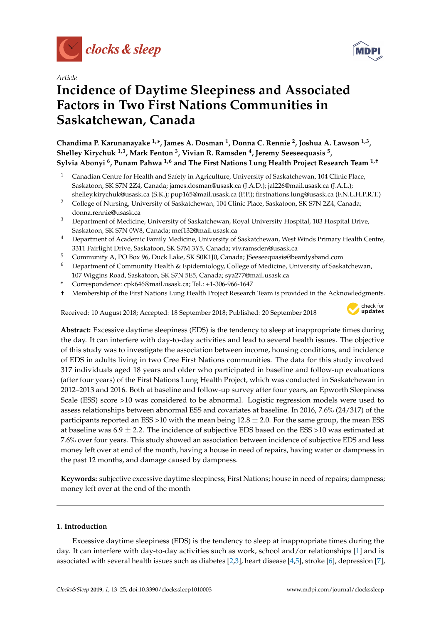

*Article*

# **Incidence of Daytime Sleepiness and Associated Factors in Two First Nations Communities in Saskatchewan, Canada**

**Chandima P. Karunanayake 1,\*, James A. Dosman <sup>1</sup> , Donna C. Rennie <sup>2</sup> , Joshua A. Lawson 1,3 , Shelley Kirychuk 1,3, Mark Fenton <sup>3</sup> , Vivian R. Ramsden <sup>4</sup> , Jeremy Seeseequasis <sup>5</sup> , Sylvia Abonyi <sup>6</sup> , Punam Pahwa 1,6 and The First Nations Lung Health Project Research Team 1,†**

- <sup>1</sup> Canadian Centre for Health and Safety in Agriculture, University of Saskatchewan, 104 Clinic Place, Saskatoon, SK S7N 2Z4, Canada; james.dosman@usask.ca (J.A.D.); jal226@mail.usask.ca (J.A.L.); shelley.kirychuk@usask.ca (S.K.); pup165@mail.usask.ca (P.P.); firstnations.lung@usask.ca (F.N.L.H.P.R.T.)
- <sup>2</sup> College of Nursing, University of Saskatchewan, 104 Clinic Place, Saskatoon, SK S7N 2Z4, Canada; donna.rennie@usask.ca
- <sup>3</sup> Department of Medicine, University of Saskatchewan, Royal University Hospital, 103 Hospital Drive, Saskatoon, SK S7N 0W8, Canada; mef132@mail.usask.ca
- <sup>4</sup> Department of Academic Family Medicine, University of Saskatchewan, West Winds Primary Health Centre, 3311 Fairlight Drive, Saskatoon, SK S7M 3Y5, Canada; viv.ramsden@usask.ca
- <sup>5</sup> Community A, PO Box 96, Duck Lake, SK S0K1J0, Canada; JSeeseequasis@beardysband.com
- <sup>6</sup> Department of Community Health & Epidemiology, College of Medicine, University of Saskatchewan, 107 Wiggins Road, Saskatoon, SK S7N 5E5, Canada; sya277@mail.usask.ca
- **\*** Correspondence: cpk646@mail.usask.ca; Tel.: +1-306-966-1647
- † Membership of the First Nations Lung Health Project Research Team is provided in the Acknowledgments.

Received: 10 August 2018; Accepted: 18 September 2018; Published: 20 September 2018



**Abstract:** Excessive daytime sleepiness (EDS) is the tendency to sleep at inappropriate times during the day. It can interfere with day-to-day activities and lead to several health issues. The objective of this study was to investigate the association between income, housing conditions, and incidence of EDS in adults living in two Cree First Nations communities. The data for this study involved 317 individuals aged 18 years and older who participated in baseline and follow-up evaluations (after four years) of the First Nations Lung Health Project, which was conducted in Saskatchewan in 2012–2013 and 2016. Both at baseline and follow-up survey after four years, an Epworth Sleepiness Scale (ESS) score >10 was considered to be abnormal. Logistic regression models were used to assess relationships between abnormal ESS and covariates at baseline. In 2016, 7.6% (24/317) of the participants reported an ESS >10 with the mean being  $12.8 \pm 2.0$ . For the same group, the mean ESS at baseline was  $6.9 \pm 2.2$ . The incidence of subjective EDS based on the ESS >10 was estimated at 7.6% over four years. This study showed an association between incidence of subjective EDS and less money left over at end of the month, having a house in need of repairs, having water or dampness in the past 12 months, and damage caused by dampness.

**Keywords:** subjective excessive daytime sleepiness; First Nations; house in need of repairs; dampness; money left over at the end of the month

### **1. Introduction**

Excessive daytime sleepiness (EDS) is the tendency to sleep at inappropriate times during the day. It can interfere with day-to-day activities such as work, school and/or relationships [\[1\]](#page-9-0) and is associated with several health issues such as diabetes [\[2](#page-9-1)[,3\]](#page-9-2), heart disease [\[4,](#page-9-3)[5\]](#page-9-4), stroke [\[6\]](#page-9-5), depression [\[7\]](#page-9-6),

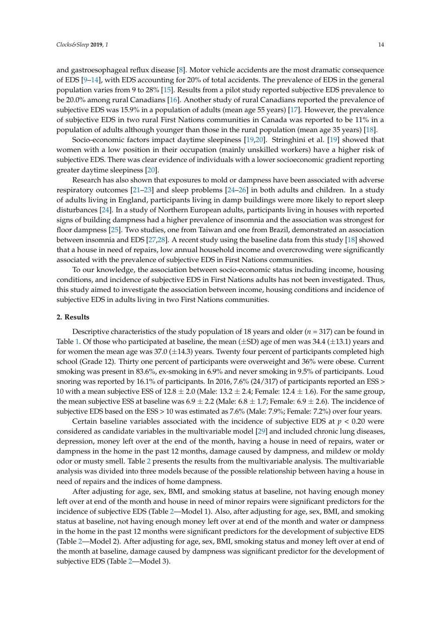and gastroesophageal reflux disease [\[8\]](#page-9-7). Motor vehicle accidents are the most dramatic consequence of EDS [\[9–](#page-9-8)[14\]](#page-10-0), with EDS accounting for 20% of total accidents. The prevalence of EDS in the general population varies from 9 to 28% [\[15\]](#page-10-1). Results from a pilot study reported subjective EDS prevalence to be 20.0% among rural Canadians [\[16\]](#page-10-2). Another study of rural Canadians reported the prevalence of subjective EDS was 15.9% in a population of adults (mean age 55 years) [\[17\]](#page-10-3). However, the prevalence of subjective EDS in two rural First Nations communities in Canada was reported to be 11% in a population of adults although younger than those in the rural population (mean age 35 years) [\[18\]](#page-10-4).

Socio-economic factors impact daytime sleepiness [\[19](#page-10-5)[,20\]](#page-10-6). Stringhini et al. [\[19\]](#page-10-5) showed that women with a low position in their occupation (mainly unskilled workers) have a higher risk of subjective EDS. There was clear evidence of individuals with a lower socioeconomic gradient reporting greater daytime sleepiness [\[20\]](#page-10-6).

Research has also shown that exposures to mold or dampness have been associated with adverse respiratory outcomes [\[21](#page-10-7)[–23\]](#page-10-8) and sleep problems [\[24](#page-10-9)[–26\]](#page-10-10) in both adults and children. In a study of adults living in England, participants living in damp buildings were more likely to report sleep disturbances [\[24\]](#page-10-9). In a study of Northern European adults, participants living in houses with reported signs of building dampness had a higher prevalence of insomnia and the association was strongest for floor dampness [\[25\]](#page-10-11). Two studies, one from Taiwan and one from Brazil, demonstrated an association between insomnia and EDS [\[27,](#page-10-12)[28\]](#page-10-13). A recent study using the baseline data from this study [\[18\]](#page-10-4) showed that a house in need of repairs, low annual household income and overcrowding were significantly associated with the prevalence of subjective EDS in First Nations communities.

To our knowledge, the association between socio-economic status including income, housing conditions, and incidence of subjective EDS in First Nations adults has not been investigated. Thus, this study aimed to investigate the association between income, housing conditions and incidence of subjective EDS in adults living in two First Nations communities.

### **2. Results**

Descriptive characteristics of the study population of 18 years and older (*n* = 317) can be found in Table [1.](#page-4-0) Of those who participated at baseline, the mean  $(\pm SD)$  age of men was 34.4  $(\pm 13.1)$  years and for women the mean age was  $37.0 \ (\pm 14.3)$  years. Twenty four percent of participants completed high school (Grade 12). Thirty one percent of participants were overweight and 36% were obese. Current smoking was present in 83.6%, ex-smoking in 6.9% and never smoking in 9.5% of participants. Loud snoring was reported by 16.1% of participants. In 2016, 7.6% (24/317) of participants reported an ESS > 10 with a mean subjective ESS of  $12.8 \pm 2.0$  (Male:  $13.2 \pm 2.4$ ; Female:  $12.4 \pm 1.6$ ). For the same group, the mean subjective ESS at baseline was  $6.9 \pm 2.2$  (Male:  $6.8 \pm 1.7$ ; Female:  $6.9 \pm 2.6$ ). The incidence of subjective EDS based on the ESS > 10 was estimated as 7.6% (Male: 7.9%; Female: 7.2%) over four years.

Certain baseline variables associated with the incidence of subjective EDS at  $p < 0.20$  were considered as candidate variables in the multivariable model [\[29\]](#page-10-14) and included chronic lung diseases, depression, money left over at the end of the month, having a house in need of repairs, water or dampness in the home in the past 12 months, damage caused by dampness, and mildew or moldy odor or musty smell. Table [2](#page-5-0) presents the results from the multivariable analysis. The multivariable analysis was divided into three models because of the possible relationship between having a house in need of repairs and the indices of home dampness.

After adjusting for age, sex, BMI, and smoking status at baseline, not having enough money left over at end of the month and house in need of minor repairs were significant predictors for the incidence of subjective EDS (Table [2—](#page-5-0)Model 1). Also, after adjusting for age, sex, BMI, and smoking status at baseline, not having enough money left over at end of the month and water or dampness in the home in the past 12 months were significant predictors for the development of subjective EDS (Table [2—](#page-5-0)Model 2). After adjusting for age, sex, BMI, smoking status and money left over at end of the month at baseline, damage caused by dampness was significant predictor for the development of subjective EDS (Table [2—](#page-5-0)Model 3).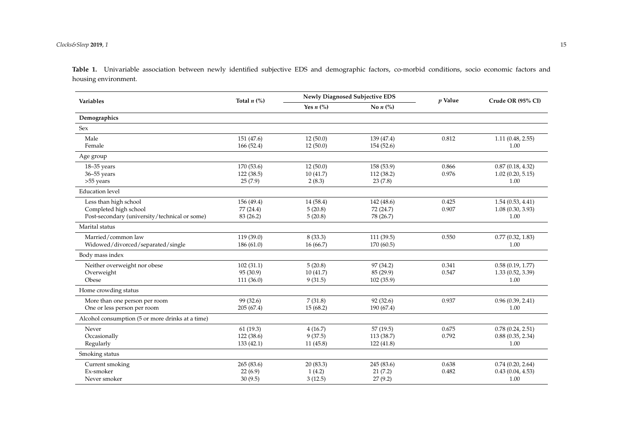#### *Clocks&Sleep* **2019**, *1* 15

**Table 1.** Univariable association between newly identified subjective EDS and demographic factors, co-morbid conditions, socio economic factors and housing environment.

| <b>Variables</b>                                 | Total $n$ (%) |             | Newly Diagnosed Subjective EDS    | $p$ Value | Crude OR (95% CI)     |
|--------------------------------------------------|---------------|-------------|-----------------------------------|-----------|-----------------------|
|                                                  |               | Yes $n$ (%) | No $n$ $\left(\frac{9}{6}\right)$ |           |                       |
| Demographics                                     |               |             |                                   |           |                       |
| <b>Sex</b>                                       |               |             |                                   |           |                       |
| Male                                             | 151 (47.6)    | 12(50.0)    | 139 (47.4)                        | 0.812     | 1.11(0.48, 2.55)      |
| Female                                           | 166 (52.4)    | 12(50.0)    | 154 (52.6)                        |           | 1.00                  |
| Age group                                        |               |             |                                   |           |                       |
| $18 - 35$ years                                  | 170 (53.6)    | 12(50.0)    | 158 (53.9)                        | 0.866     | 0.87(0.18, 4.32)      |
| 36-55 years                                      | 122(38.5)     | 10(41.7)    | 112 (38.2)                        | 0.976     | 1.02(0.20, 5.15)      |
| >55 years                                        | 25(7.9)       | 2(8.3)      | 23(7.8)                           |           | 1.00                  |
| <b>Education</b> level                           |               |             |                                   |           |                       |
| Less than high school                            | 156 (49.4)    | 14 (58.4)   | 142 (48.6)                        | 0.425     | 1.54(0.53, 4.41)      |
| Completed high school                            | 77 (24.4)     | 5(20.8)     | 72 (24.7)                         | 0.907     | 1.08(0.30, 3.93)      |
| Post-secondary (university/technical or some)    | 83 (26.2)     | 5(20.8)     | 78 (26.7)                         |           | 1.00                  |
| Marital status                                   |               |             |                                   |           |                       |
| Married/common law                               | 119 (39.0)    | 8(33.3)     | 111 (39.5)                        | 0.550     | 0.77(0.32, 1.83)      |
| Widowed/divorced/separated/single                | 186 (61.0)    | 16(66.7)    | 170 (60.5)                        |           | 1.00                  |
| Body mass index                                  |               |             |                                   |           |                       |
| Neither overweight nor obese                     | 102(31.1)     | 5(20.8)     | 97 (34.2)                         | 0.341     | 0.58(0.19, 1.77)      |
| Overweight                                       | 95 (30.9)     | 10(41.7)    | 85 (29.9)                         | 0.547     | 1.33(0.52, 3.39)      |
| Obese                                            | 111 (36.0)    | 9(31.5)     | 102(35.9)                         |           | 1.00                  |
| Home crowding status                             |               |             |                                   |           |                       |
| More than one person per room                    | 99 (32.6)     | 7(31.8)     | 92 (32.6)                         | 0.937     | 0.96(0.39, 2.41)      |
| One or less person per room                      | 205(67.4)     | 15(68.2)    | 190 (67.4)                        |           | 1.00                  |
| Alcohol consumption (5 or more drinks at a time) |               |             |                                   |           |                       |
| Never                                            | 61(19.3)      | 4(16.7)     | 57(19.5)                          | 0.675     | 0.78(0.24, 2.51)      |
| Occasionally                                     | 122 (38.6)    | 9(37.5)     | 113 (38.7)                        | 0.792     | 0.88(0.35, 2.34)      |
| Regularly                                        | 133(42.1)     | 11(45.8)    | 122(41.8)                         |           | 1.00                  |
| Smoking status                                   |               |             |                                   |           |                       |
| Current smoking                                  | 265 (83.6)    | 20(83.3)    | 245 (83.6)                        | 0.638     | $0.74$ $(0.20, 2.64)$ |
| Ex-smoker                                        | 22(6.9)       | 1(4.2)      | 21(7.2)                           | 0.482     | 0.43(0.04, 4.53)      |
| Never smoker                                     | 30(9.5)       | 3(12.5)     | 27(9.2)                           |           | 1.00                  |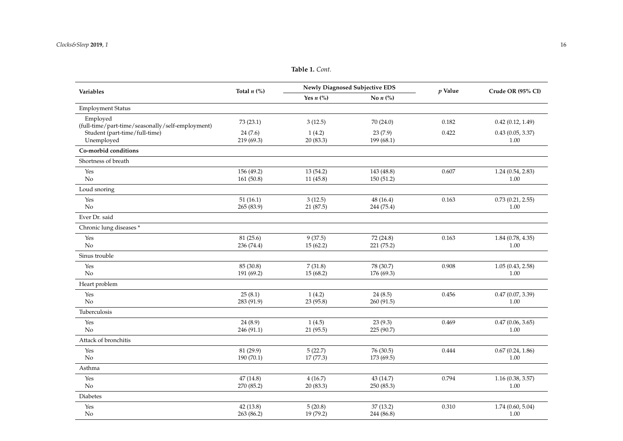| Variables                                                    | Total $n$ (%)           |                       | <b>Newly Diagnosed Subjective EDS</b> | $p$ Value | Crude OR (95% CI)        |
|--------------------------------------------------------------|-------------------------|-----------------------|---------------------------------------|-----------|--------------------------|
|                                                              |                         | Yes $n$ (%)           | No $n$ (%)                            |           |                          |
| <b>Employment Status</b>                                     |                         |                       |                                       |           |                          |
| Employed<br>(full-time/part-time/seasonally/self-employment) | 73 (23.1)               | 3(12.5)               | 70 (24.0)                             | 0.182     | 0.42(0.12, 1.49)         |
| Student (part-time/full-time)<br>Unemployed                  | 24(7.6)<br>219 (69.3)   | 1(4.2)<br>20 (83.3)   | 23(7.9)<br>199 (68.1)                 | 0.422     | 0.43(0.05, 3.37)<br>1.00 |
| Co-morbid conditions                                         |                         |                       |                                       |           |                          |
| Shortness of breath                                          |                         |                       |                                       |           |                          |
| Yes<br>$\rm No$                                              | 156 (49.2)<br>161(50.8) | 13 (54.2)<br>11(45.8) | 143 (48.8)<br>150(51.2)               | 0.607     | 1.24(0.54, 2.83)<br>1.00 |
| Loud snoring                                                 |                         |                       |                                       |           |                          |
| Yes<br>No                                                    | 51(16.1)<br>265 (83.9)  | 3(12.5)<br>21 (87.5)  | 48 (16.4)<br>244 (75.4)               | 0.163     | 0.73(0.21, 2.55)<br>1.00 |
| Ever Dr. said                                                |                         |                       |                                       |           |                          |
| Chronic lung diseases *                                      |                         |                       |                                       |           |                          |
| Yes<br>No                                                    | 81 (25.6)<br>236 (74.4) | 9(37.5)<br>15(62.2)   | 72 (24.8)<br>221 (75.2)               | 0.163     | 1.84(0.78, 4.35)<br>1.00 |
| Sinus trouble                                                |                         |                       |                                       |           |                          |
| Yes<br>$\rm No$                                              | 85 (30.8)<br>191 (69.2) | 7(31.8)<br>15(68.2)   | 78 (30.7)<br>176 (69.3)               | 0.908     | 1.05(0.43, 2.58)<br>1.00 |
| Heart problem                                                |                         |                       |                                       |           |                          |
| Yes<br>$\rm No$                                              | 25(8.1)<br>283 (91.9)   | 1(4.2)<br>23 (95.8)   | 24(8.5)<br>260 (91.5)                 | 0.456     | 0.47(0.07, 3.39)<br>1.00 |
| Tuberculosis                                                 |                         |                       |                                       |           |                          |
| Yes<br>No                                                    | 24(8.9)<br>246 (91.1)   | 1(4.5)<br>21(95.5)    | 23(9.3)<br>225 (90.7)                 | 0.469     | 0.47(0.06, 3.65)<br>1.00 |
| Attack of bronchitis                                         |                         |                       |                                       |           |                          |
| Yes<br>$\rm No$                                              | 81 (29.9)<br>190 (70.1) | 5(22.7)<br>17(77.3)   | 76 (30.5)<br>173 (69.5)               | 0.444     | 0.67(0.24, 1.86)<br>1.00 |
| Asthma                                                       |                         |                       |                                       |           |                          |
| Yes<br>No                                                    | 47(14.8)<br>270 (85.2)  | 4(16.7)<br>20(83.3)   | 43 (14.7)<br>250 (85.3)               | 0.794     | 1.16(0.38, 3.57)<br>1.00 |
| Diabetes                                                     |                         |                       |                                       |           |                          |
| Yes<br>No                                                    | 42(13.8)<br>263 (86.2)  | 5(20.8)<br>19 (79.2)  | 37(13.2)<br>244 (86.8)                | 0.310     | 1.74(0.60, 5.04)<br>1.00 |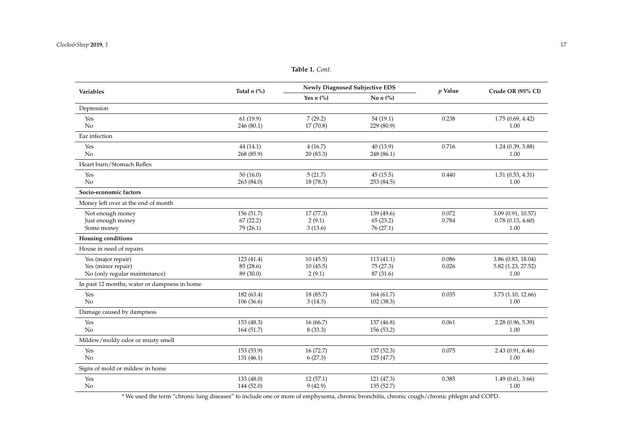**Table 1.** *Cont.*

| Variables                                    | Total $n$ (%) |                           | <b>Newly Diagnosed Subjective EDS</b> | $p$ Value | Crude OR (95% CI)  |  |
|----------------------------------------------|---------------|---------------------------|---------------------------------------|-----------|--------------------|--|
|                                              |               | Yes $n$ (%)<br>No $n$ (%) |                                       |           |                    |  |
| Depression                                   |               |                           |                                       |           |                    |  |
| Yes                                          | 61(19.9)      | 7(29.2)                   | 54 (19.1)                             | 0.238     | 1.75(0.69, 4.42)   |  |
| No                                           | 246 (80.1)    | 17(70.8)                  | 229 (80.9)                            |           | 1.00               |  |
| Ear infection                                |               |                           |                                       |           |                    |  |
| Yes                                          | 44 (14.1)     | 4(16.7)                   | 40 (13.9)                             | 0.716     | 1.24(0.39, 3.88)   |  |
| No                                           | 268 (85.9)    | 20 (83.3)                 | 248 (86.1)                            |           | 1.00               |  |
| Heart burn/Stomach Reflex                    |               |                           |                                       |           |                    |  |
| Yes                                          | 50(16.0)      | 5(21.7)                   | 45(15.5)                              | 0.440     | 1.51(0.53, 4.31)   |  |
| No                                           | 263(84.0)     | 18 (78.3)                 | 253 (84.5)                            |           | 1.00               |  |
| Socio-economic factors                       |               |                           |                                       |           |                    |  |
| Money left over at the end of month          |               |                           |                                       |           |                    |  |
| Not enough money                             | 156 (51.7)    | 17(77.3)                  | 139 (49.6)                            | 0.072     | 3.09 (0.91, 10.57) |  |
| Just enough money                            | 67(22.2)      | 2(9.1)                    | 65(23.2)                              | 0.784     | 0.78(0.13, 4.60)   |  |
| Some money                                   | 79 (26.1)     | 3(13.6)                   | 76 (27.1)                             |           | 1.00               |  |
| <b>Housing conditions</b>                    |               |                           |                                       |           |                    |  |
| House in need of repairs                     |               |                           |                                       |           |                    |  |
| Yes (major repair)                           | 123 (41.4)    | 10(45.5)                  | 113(41.1)                             | 0.086     | 3.86 (0.83, 18.04) |  |
| Yes (minor repair)                           | 85 (28.6)     | 10(45.5)                  | 75 (27.3)                             | 0.026     | 5.82 (1.23, 27.52) |  |
| No (only regular maintenance)                | 89 (30.0)     | 2(9.1)                    | 87 (31.6)                             |           | 1.00               |  |
| In past 12 months, water or dampness in home |               |                           |                                       |           |                    |  |
| Yes                                          | 182 (63.4)    | 18(85.7)                  | 164(61.7)                             | 0.035     | 3.73 (1.10, 12.66) |  |
| No                                           | 106 (36.6)    | 3(14.3)                   | 102 (38.3)                            |           | 1.00               |  |
| Damage caused by dampness                    |               |                           |                                       |           |                    |  |
| Yes                                          | 153 (48.3)    | 16(66.7)                  | 137 (46.8)                            | 0.061     | 2.28 (0.96, 5.39)  |  |
| No                                           | 164 (51.7)    | 8(33.3)                   | 156(53.2)                             |           | 1.00               |  |
| Mildew/moldy odor or musty smell             |               |                           |                                       |           |                    |  |
| Yes                                          | 153 (53.9)    | 16(72.7)                  | 137 (52.3)                            | 0.075     | 2.43 (0.91, 6.46)  |  |
| No                                           | 131 (46.1)    | 6(27.3)                   | 125 (47.7)                            |           | 1.00               |  |
| Signs of mold or mildew in home              |               |                           |                                       |           |                    |  |
| Yes                                          | 133 (48.0)    | 12(57.1)                  | 121 (47.3)                            | 0.385     | 1.49(0.61, 3.66)   |  |
| No                                           | 144 (52.0)    | 9(42.9)                   | 135(52.7)                             |           | 1.00               |  |

<span id="page-4-0"></span>\* We used the term "chronic lung diseases" to include one or more of emphysema, chronic bronchitis, chronic cough/chronic phlegm and COPD.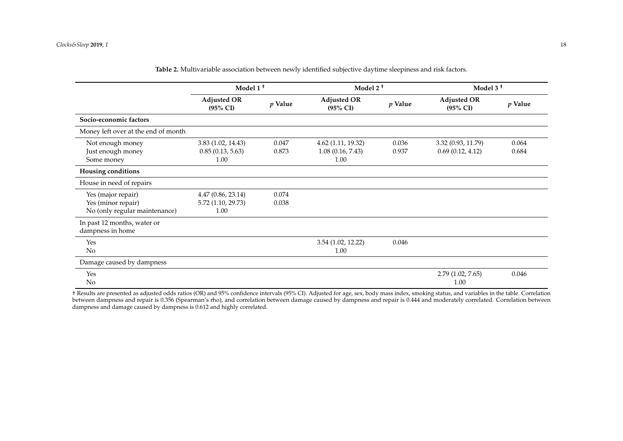|                                                                           | Model 1 <sup>+</sup>                            |                | Model 2 <sup>+</sup>                           |                | Model 3 <sup>t</sup>                      |                |
|---------------------------------------------------------------------------|-------------------------------------------------|----------------|------------------------------------------------|----------------|-------------------------------------------|----------------|
|                                                                           | <b>Adjusted OR</b><br>$(95\% \text{ CI})$       | $p$ Value      | <b>Adjusted OR</b><br>$(95\% \text{ CI})$      | $p$ Value      | <b>Adjusted OR</b><br>$(95\% \text{ CI})$ | $p$ Value      |
| Socio-economic factors                                                    |                                                 |                |                                                |                |                                           |                |
| Money left over at the end of month                                       |                                                 |                |                                                |                |                                           |                |
| Not enough money<br>Just enough money<br>Some money                       | 3.83(1.02, 14.43)<br>0.85(0.13, 5.63)<br>1.00   | 0.047<br>0.873 | 4.62 (1.11, 19.32)<br>1.08(0.16, 7.43)<br>1.00 | 0.036<br>0.937 | 3.32 (0.93, 11.79)<br>0.69(0.12, 4.12)    | 0.064<br>0.684 |
| <b>Housing conditions</b>                                                 |                                                 |                |                                                |                |                                           |                |
| House in need of repairs                                                  |                                                 |                |                                                |                |                                           |                |
| Yes (major repair)<br>Yes (minor repair)<br>No (only regular maintenance) | 4.47(0.86, 23.14)<br>5.72 (1.10, 29.73)<br>1.00 | 0.074<br>0.038 |                                                |                |                                           |                |
| In past 12 months, water or<br>dampness in home                           |                                                 |                |                                                |                |                                           |                |
| Yes<br>No                                                                 |                                                 |                | 3.54 (1.02, 12.22)<br>1.00                     | 0.046          |                                           |                |
| Damage caused by dampness                                                 |                                                 |                |                                                |                |                                           |                |
| Yes<br>No                                                                 |                                                 |                |                                                |                | 2.79(1.02, 7.65)<br>1.00                  | 0.046          |

**Table 2.** Multivariable association between newly identified subjective daytime sleepiness and risk factors.

<span id="page-5-0"></span>† Results are presented as adjusted odds ratios (OR) and 95% confidence intervals (95% CI). Adjusted for age, sex, body mass index, smoking status, and variables in the table. Correlation between dampness and repair is 0.356 (Spearman's rho), and correlation between damage caused by dampness and repair is 0.444 and moderately correlated. Correlation between dampness and damage caused by dampness is 0.612 and highly correlated.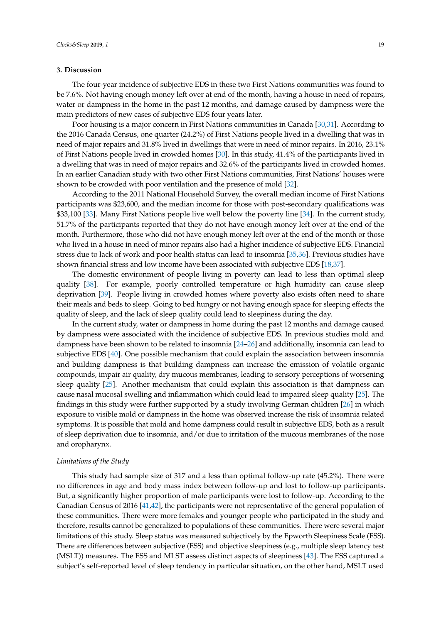### **3. Discussion**

The four-year incidence of subjective EDS in these two First Nations communities was found to be 7.6%. Not having enough money left over at end of the month, having a house in need of repairs, water or dampness in the home in the past 12 months, and damage caused by dampness were the main predictors of new cases of subjective EDS four years later.

Poor housing is a major concern in First Nations communities in Canada [\[30](#page-11-0)[,31\]](#page-11-1). According to the 2016 Canada Census, one quarter (24.2%) of First Nations people lived in a dwelling that was in need of major repairs and 31.8% lived in dwellings that were in need of minor repairs. In 2016, 23.1% of First Nations people lived in crowded homes [\[30\]](#page-11-0). In this study, 41.4% of the participants lived in a dwelling that was in need of major repairs and 32.6% of the participants lived in crowded homes. In an earlier Canadian study with two other First Nations communities, First Nations' houses were shown to be crowded with poor ventilation and the presence of mold [\[32\]](#page-11-2).

According to the 2011 National Household Survey, the overall median income of First Nations participants was \$23,600, and the median income for those with post-secondary qualifications was \$33,100 [\[33\]](#page-11-3). Many First Nations people live well below the poverty line [\[34\]](#page-11-4). In the current study, 51.7% of the participants reported that they do not have enough money left over at the end of the month. Furthermore, those who did not have enough money left over at the end of the month or those who lived in a house in need of minor repairs also had a higher incidence of subjective EDS. Financial stress due to lack of work and poor health status can lead to insomnia [\[35,](#page-11-5)[36\]](#page-11-6). Previous studies have shown financial stress and low income have been associated with subjective EDS [\[18,](#page-10-4)[37\]](#page-11-7).

The domestic environment of people living in poverty can lead to less than optimal sleep quality [\[38\]](#page-11-8). For example, poorly controlled temperature or high humidity can cause sleep deprivation [\[39\]](#page-11-9). People living in crowded homes where poverty also exists often need to share their meals and beds to sleep. Going to bed hungry or not having enough space for sleeping effects the quality of sleep, and the lack of sleep quality could lead to sleepiness during the day.

In the current study, water or dampness in home during the past 12 months and damage caused by dampness were associated with the incidence of subjective EDS. In previous studies mold and dampness have been shown to be related to insomnia [\[24](#page-10-9)[–26\]](#page-10-10) and additionally, insomnia can lead to subjective EDS [\[40\]](#page-11-10). One possible mechanism that could explain the association between insomnia and building dampness is that building dampness can increase the emission of volatile organic compounds, impair air quality, dry mucous membranes, leading to sensory perceptions of worsening sleep quality [\[25\]](#page-10-11). Another mechanism that could explain this association is that dampness can cause nasal mucosal swelling and inflammation which could lead to impaired sleep quality [\[25\]](#page-10-11). The findings in this study were further supported by a study involving German children [\[26\]](#page-10-10) in which exposure to visible mold or dampness in the home was observed increase the risk of insomnia related symptoms. It is possible that mold and home dampness could result in subjective EDS, both as a result of sleep deprivation due to insomnia, and/or due to irritation of the mucous membranes of the nose and oropharynx.

### *Limitations of the Study*

This study had sample size of 317 and a less than optimal follow-up rate (45.2%). There were no differences in age and body mass index between follow-up and lost to follow-up participants. But, a significantly higher proportion of male participants were lost to follow-up. According to the Canadian Census of 2016 [\[41,](#page-11-11)[42\]](#page-11-12), the participants were not representative of the general population of these communities. There were more females and younger people who participated in the study and therefore, results cannot be generalized to populations of these communities. There were several major limitations of this study. Sleep status was measured subjectively by the Epworth Sleepiness Scale (ESS). There are differences between subjective (ESS) and objective sleepiness (e.g., multiple sleep latency test (MSLT)) measures. The ESS and MLST assess distinct aspects of sleepiness [\[43\]](#page-11-13). The ESS captured a subject's self-reported level of sleep tendency in particular situation, on the other hand, MSLT used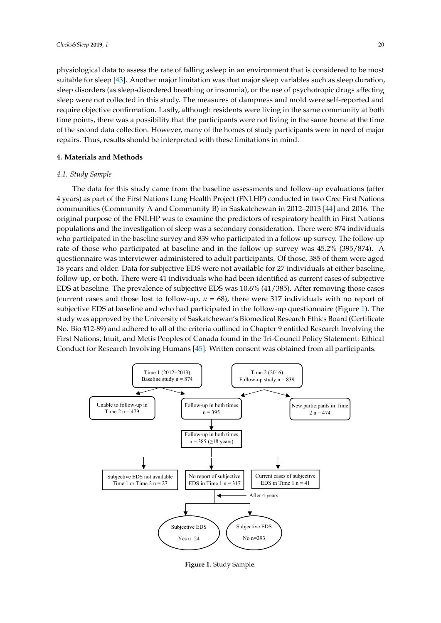physiological data to assess the rate of falling asleep in an environment that is considered to be most suitable for sleep [\[43\]](#page-11-13). Another major limitation was that major sleep variables such as sleep duration, sleep disorders (as sleep-disordered breathing or insomnia), or the use of psychotropic drugs affecting sleep were not collected in this study. The measures of dampness and mold were self-reported and require objective confirmation. Lastly, although residents were living in the same community at both require objective confirmation. Lastly, although residents were living in the same community at both the sum of the same community at both time participants were the same community at both time points, there was a possibility that the participants were not living in the same home at the time of the second data collection. However, many of the homes of study participants were in need of major repairs. Thus, results should be interpreted with these limitations in mind. in mind. in the same home at the same possibility that the participation were not if the same home at the th

### **4. Materials and Methods 4. Materials and Methods**

## *4.1. Study Sample 4.1. Study Sample*

The data for this study came from the baseline assessments and follow-up evaluations (after The data for this study came from the baseline assessments and follow-up evaluations (after 4 4 years) as part of the First Nations Lung Health Project (FNLHP) conducted in two Cree First Nations years) as part of the First Nations Lung Health Project (FNLHP) conducted in two Cree First Nations communities (Community A and Community B) in Saskatchewan in 2012–2013 [\[44\]](#page-11-14) and 2016. The communities (Community A and Community B) in Saskatchewan in 2012–2013 [44] and 2016. The original purpose of the FNLHP was to examine the predictors of respiratory health in First Nations original purpose of the FNLHP was to examine the predictors of respiratory health in First Nations populations and the investigation of sleep was a secondary consideration. There were 874 individuals populations and the investigation of sleep was a secondary consideration. There were 874 individuals who participated in the baseline survey and 839 who participated in a follow-up survey. The follow-up who participated in the baseline survey and 839 who participated in a follow-up survey. The followrate of those who participated at baseline and in the follow-up survey was 45.2% (395/874). A questionnaire was interviewer-administered to adult participants. Of those, 385 of them were aged questionnaire was interviewer-administered to adult participants. Of those, 385 of them were aged 18 years and older. Data for subjective EDS were not available for 27 individuals at either baseline, 18 years and older. Data for subjective EDS were not available for 27 individuals at either baseline, follow-up, or both. There were 41 individuals who had been identified as current cases of subjective follow-up, or both. There were 41 individuals who had been identified as current cases of subjective EDS at baseline. The prevalence of subjective EDS was 10.6% (41/385). After removing those cases EDS at baseline. The prevalence of subjective EDS was 10.6% (41/385). After removing those cases (current cases and those lost to follow-up,  $n = 68$ ), there were 317 individuals with no report of subjective EDS at baseline and who had participated in the follow-up questionnaire (Figure [1\)](#page-7-0). The subjective EDS at baseline and who had participated in the follow-up questionnaire (Figure 1). The study was approved by the University of Saskatchewan's Biomedical Research Ethics Board (Certificate study was approved by the University of Saskatchewan's Biomedical Research Ethics Board Stady was approved by the University of Saskatcheward's Biomedical Research Entitled (Certificate No. Bio #12-89) and adhered to all of the criteria outlined in Chapter 9 entitled Research Involving the First Nations, Inuit, and Metis Peoples of Canada found in the Tri-Council Policy Statement: Ethical Conduct for Research Involving Humans [\[45\]](#page-11-15). Written consent was obtained from all participants. all participants.  $I_{\text{E}}$  is  $I_{\text{E}}$  and a first to an of the Chiefia butthed in Chapter  $\theta$  chinned research involving  $\theta$ 

<span id="page-7-0"></span>

**Figure 1***.* Study Sample. **Figure 1.** Study Sample.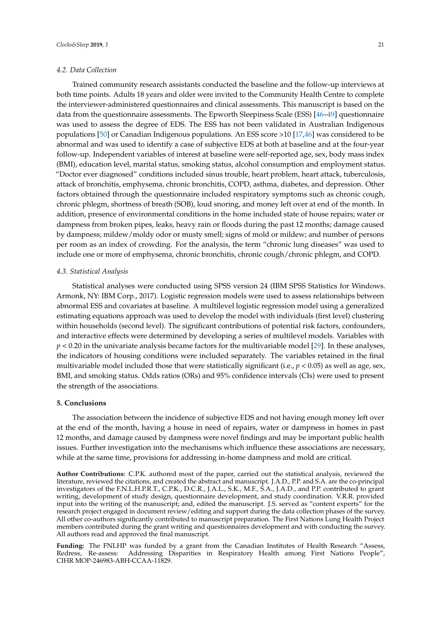### *4.2. Data Collection*

Trained community research assistants conducted the baseline and the follow-up interviews at both time points. Adults 18 years and older were invited to the Community Health Centre to complete the interviewer-administered questionnaires and clinical assessments. This manuscript is based on the data from the questionnaire assessments. The Epworth Sleepiness Scale (ESS) [\[46–](#page-11-16)[49\]](#page-12-0) questionnaire was used to assess the degree of EDS. The ESS has not been validated in Australian Indigenous populations [\[50\]](#page-12-1) or Canadian Indigenous populations. An ESS score >10 [\[17](#page-10-3)[,46\]](#page-11-16) was considered to be abnormal and was used to identify a case of subjective EDS at both at baseline and at the four-year follow-up. Independent variables of interest at baseline were self-reported age, sex, body mass index (BMI), education level, marital status, smoking status, alcohol consumption and employment status. "Doctor ever diagnosed" conditions included sinus trouble, heart problem, heart attack, tuberculosis, attack of bronchitis, emphysema, chronic bronchitis, COPD, asthma, diabetes, and depression. Other factors obtained through the questionnaire included respiratory symptoms such as chronic cough, chronic phlegm, shortness of breath (SOB), loud snoring, and money left over at end of the month. In addition, presence of environmental conditions in the home included state of house repairs; water or dampness from broken pipes, leaks, heavy rain or floods during the past 12 months; damage caused by dampness; mildew/moldy odor or musty smell; signs of mold or mildew; and number of persons per room as an index of crowding. For the analysis, the term "chronic lung diseases" was used to include one or more of emphysema, chronic bronchitis, chronic cough/chronic phlegm, and COPD.

### *4.3. Statistical Analysis*

Statistical analyses were conducted using SPSS version 24 (IBM SPSS Statistics for Windows. Armonk, NY: IBM Corp., 2017). Logistic regression models were used to assess relationships between abnormal ESS and covariates at baseline. A multilevel logistic regression model using a generalized estimating equations approach was used to develop the model with individuals (first level) clustering within households (second level). The significant contributions of potential risk factors, confounders, and interactive effects were determined by developing a series of multilevel models. Variables with  $p < 0.20$  in the univariate analysis became factors for the multivariable model [\[29\]](#page-10-14). In these analyses, the indicators of housing conditions were included separately. The variables retained in the final multivariable model included those that were statistically significant (i.e., *p* < 0.05) as well as age, sex, BMI, and smoking status. Odds ratios (ORs) and 95% confidence intervals (CIs) were used to present the strength of the associations.

### **5. Conclusions**

The association between the incidence of subjective EDS and not having enough money left over at the end of the month, having a house in need of repairs, water or dampness in homes in past 12 months, and damage caused by dampness were novel findings and may be important public health issues. Further investigation into the mechanisms which influence these associations are necessary, while at the same time, provisions for addressing in-home dampness and mold are critical.

**Author Contributions:** C.P.K. authored most of the paper, carried out the statistical analysis, reviewed the literature, reviewed the citations, and created the abstract and manuscript. J.A.D., P.P. and S.A. are the co-principal investigators of the F.N.L.H.P.R.T., C.P.K., D.C.R., J.A.L., S.K., M.F., S.A., J.A.D., and P.P. contributed to grant writing, development of study design, questionnaire development, and study coordination. V.R.R. provided input into the writing of the manuscript; and, edited the manuscript. J.S. served as "content experts" for the research project engaged in document review/editing and support during the data collection phases of the survey. All other co-authors significantly contributed to manuscript preparation. The First Nations Lung Health Project members contributed during the grant writing and questionnaires development and with conducting the survey. All authors read and approved the final manuscript.

Funding: The FNLHP was funded by a grant from the Canadian Institutes of Health Research "Assess, Redress, Re-assess: Addressing Disparities in Respiratory Health among First Nations People", CIHR MOP-246983-ABH-CCAA-11829.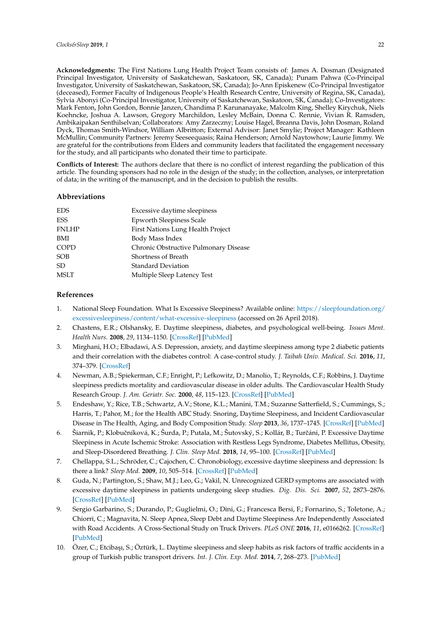**Acknowledgments:** The First Nations Lung Health Project Team consists of: James A. Dosman (Designated Principal Investigator, University of Saskatchewan, Saskatoon, SK, Canada); Punam Pahwa (Co-Principal Investigator, University of Saskatchewan, Saskatoon, SK, Canada); Jo-Ann Episkenew (Co-Principal Investigator (deceased), Former Faculty of Indigenous People's Health Research Centre, University of Regina, SK, Canada), Sylvia Abonyi (Co-Principal Investigator, University of Saskatchewan, Saskatoon, SK, Canada); Co-Investigators: Mark Fenton, John Gordon, Bonnie Janzen, Chandima P. Karunanayake, Malcolm King, Shelley Kirychuk, Niels Koehncke, Joshua A. Lawson, Gregory Marchildon, Lesley McBain, Donna C. Rennie, Vivian R. Ramsden, Ambikaipakan Senthilselvan; Collaborators: Amy Zarzeczny; Louise Hagel, Breanna Davis, John Dosman, Roland Dyck, Thomas Smith-Windsor, William Albritton; External Advisor: Janet Smylie; Project Manager: Kathleen McMullin; Community Partners: Jeremy Seeseequasis; Raina Henderson; Arnold Naytowhow; Laurie Jimmy. We are grateful for the contributions from Elders and community leaders that facilitated the engagement necessary for the study, and all participants who donated their time to participate.

**Conflicts of Interest:** The authors declare that there is no conflict of interest regarding the publication of this article. The founding sponsors had no role in the design of the study; in the collection, analyses, or interpretation of data; in the writing of the manuscript, and in the decision to publish the results.

### **Abbreviations**

| Excessive daytime sleepiness          |
|---------------------------------------|
| <b>Epworth Sleepiness Scale</b>       |
| First Nations Lung Health Project     |
| Body Mass Index                       |
| Chronic Obstructive Pulmonary Disease |
| Shortness of Breath                   |
| <b>Standard Deviation</b>             |
| Multiple Sleep Latency Test           |
|                                       |

### **References**

- <span id="page-9-0"></span>1. National Sleep Foundation. What Is Excessive Sleepiness? Available online: [https://sleepfoundation.org/](https://sleepfoundation.org/excessivesleepiness/content/what-excessive-sleepiness) [excessivesleepiness/content/what-excessive-sleepiness](https://sleepfoundation.org/excessivesleepiness/content/what-excessive-sleepiness) (accessed on 26 April 2018).
- <span id="page-9-1"></span>2. Chastens, E.R.; Olshansky, E. Daytime sleepiness, diabetes, and psychological well-being. *Issues Ment. Health Nurs.* **2008**, *29*, 1134–1150. [\[CrossRef\]](http://dx.doi.org/10.1080/01612840802319878) [\[PubMed\]](http://www.ncbi.nlm.nih.gov/pubmed/18853351)
- <span id="page-9-2"></span>3. Mirghani, H.O.; Elbadawi, A.S. Depression, anxiety, and daytime sleepiness among type 2 diabetic patients and their correlation with the diabetes control: A case-control study. *J. Taibah Univ. Medical. Sci.* **2016**, *11*, 374–379. [\[CrossRef\]](http://dx.doi.org/10.1016/j.jtumed.2016.05.009)
- <span id="page-9-3"></span>4. Newman, A.B.; Spiekerman, C.F.; Enright, P.; Lefkowitz, D.; Manolio, T.; Reynolds, C.F.; Robbins, J. Daytime sleepiness predicts mortality and cardiovascular disease in older adults. The Cardiovascular Health Study Research Group. *J. Am. Geriatr. Soc.* **2000**, *48*, 115–123. [\[CrossRef\]](http://dx.doi.org/10.1111/j.1532-5415.2000.tb03901.x) [\[PubMed\]](http://www.ncbi.nlm.nih.gov/pubmed/10682939)
- <span id="page-9-4"></span>5. Endeshaw, Y.; Rice, T.B.; Schwartz, A.V.; Stone, K.L.; Manini, T.M.; Suzanne Satterfield, S.; Cummings, S.; Harris, T.; Pahor, M.; for the Health ABC Study. Snoring, Daytime Sleepiness, and Incident Cardiovascular Disease in The Health, Aging, and Body Composition Study. *Sleep* **2013**, *36*, 1737–1745. [\[CrossRef\]](http://dx.doi.org/10.5665/sleep.3140) [\[PubMed\]](http://www.ncbi.nlm.nih.gov/pubmed/24179308)
- <span id="page-9-5"></span>6. Šiarnik, P.; Klobuˇcníková, K.; Šurda, P.; Putala, M.; Šutovský, S.; Kollár, B.; Turˇcáni, P. Excessive Daytime Sleepiness in Acute Ischemic Stroke: Association with Restless Legs Syndrome, Diabetes Mellitus, Obesity, and Sleep-Disordered Breathing. *J. Clin. Sleep Med.* **2018**, *14*, 95–100. [\[CrossRef\]](http://dx.doi.org/10.5664/jcsm.6890) [\[PubMed\]](http://www.ncbi.nlm.nih.gov/pubmed/29117882)
- <span id="page-9-6"></span>7. Chellappa, S.L.; Schröder, C.; Cajochen, C. Chronobiology, excessive daytime sleepiness and depression: Is there a link? *Sleep Med.* **2009**, *10*, 505–514. [\[CrossRef\]](http://dx.doi.org/10.1016/j.sleep.2008.05.010) [\[PubMed\]](http://www.ncbi.nlm.nih.gov/pubmed/18824409)
- <span id="page-9-7"></span>8. Guda, N.; Partington, S.; Shaw, M.J.; Leo, G.; Vakil, N. Unrecognized GERD symptoms are associated with excessive daytime sleepiness in patients undergoing sleep studies. *Dig. Dis. Sci.* **2007**, *52*, 2873–2876. [\[CrossRef\]](http://dx.doi.org/10.1007/s10620-007-9768-6) [\[PubMed\]](http://www.ncbi.nlm.nih.gov/pubmed/17406821)
- <span id="page-9-8"></span>9. Sergio Garbarino, S.; Durando, P.; Guglielmi, O.; Dini, G.; Francesca Bersi, F.; Fornarino, S.; Toletone, A.; Chiorri, C.; Magnavita, N. Sleep Apnea, Sleep Debt and Daytime Sleepiness Are Independently Associated with Road Accidents. A Cross-Sectional Study on Truck Drivers. *PLoS ONE* **2016**, *11*, e0166262. [\[CrossRef\]](http://dx.doi.org/10.1371/journal.pone.0166262) [\[PubMed\]](http://www.ncbi.nlm.nih.gov/pubmed/27902703)
- 10. Özer, C.; Etciba¸sı, S.; Öztürk, L. Daytime sleepiness and sleep habits as risk factors of traffic accidents in a group of Turkish public transport drivers. *Int. J. Clin. Exp. Med.* **2014**, *7*, 268–273. [\[PubMed\]](http://www.ncbi.nlm.nih.gov/pubmed/24482715)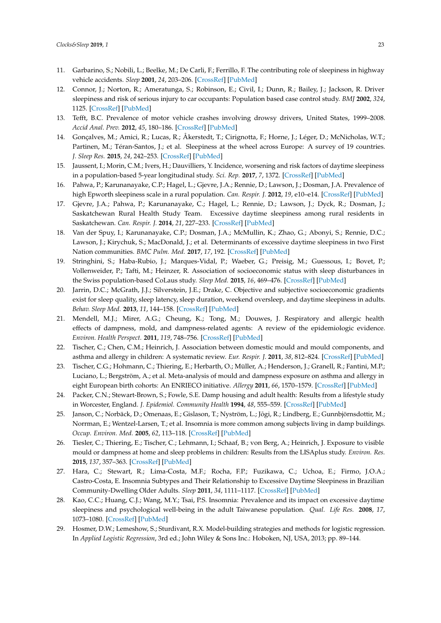- 11. Garbarino, S.; Nobili, L.; Beelke, M.; De Carli, F.; Ferrillo, F. The contributing role of sleepiness in highway vehicle accidents. *Sleep* **2001**, *24*, 203–206. [\[CrossRef\]](http://dx.doi.org/10.1093/sleep/24.2.1a) [\[PubMed\]](http://www.ncbi.nlm.nih.gov/pubmed/11247057)
- 12. Connor, J.; Norton, R.; Ameratunga, S.; Robinson, E.; Civil, I.; Dunn, R.; Bailey, J.; Jackson, R. Driver sleepiness and risk of serious injury to car occupants: Population based case control study. *BMJ* **2002**, *324*, 1125. [\[CrossRef\]](http://dx.doi.org/10.1136/bmj.324.7346.1125) [\[PubMed\]](http://www.ncbi.nlm.nih.gov/pubmed/12003884)
- 13. Tefft, B.C. Prevalence of motor vehicle crashes involving drowsy drivers, United States, 1999–2008. *Accid Anal. Prev.* **2012**, *45*, 180–186. [\[CrossRef\]](http://dx.doi.org/10.1016/j.aap.2011.05.028) [\[PubMed\]](http://www.ncbi.nlm.nih.gov/pubmed/22269499)
- <span id="page-10-0"></span>14. Gonçalves, M.; Amici, R.; Lucas, R.; Åkerstedt, T.; Cirignotta, F.; Horne, J.; Léger, D.; McNicholas, W.T.; Partinen, M.; Téran-Santos, J.; et al. Sleepiness at the wheel across Europe: A survey of 19 countries. *J. Sleep Res.* **2015**, *24*, 242–253. [\[CrossRef\]](http://dx.doi.org/10.1111/jsr.12267) [\[PubMed\]](http://www.ncbi.nlm.nih.gov/pubmed/25581328)
- <span id="page-10-1"></span>15. Jaussent, I.; Morin, C.M.; Ivers, H.; Dauvilliers, Y. Incidence, worsening and risk factors of daytime sleepiness in a population-based 5-year longitudinal study. *Sci. Rep.* **2017**, *7*, 1372. [\[CrossRef\]](http://dx.doi.org/10.1038/s41598-017-01547-0) [\[PubMed\]](http://www.ncbi.nlm.nih.gov/pubmed/28465612)
- <span id="page-10-2"></span>16. Pahwa, P.; Karunanayake, C.P.; Hagel, L.; Gjevre, J.A.; Rennie, D.; Lawson, J.; Dosman, J.A. Prevalence of high Epworth sleepiness scale in a rural population. *Can. Respir. J.* **2012**, *19*, e10–e14. [\[CrossRef\]](http://dx.doi.org/10.1155/2012/287309) [\[PubMed\]](http://www.ncbi.nlm.nih.gov/pubmed/22536583)
- <span id="page-10-3"></span>17. Gjevre, J.A.; Pahwa, P.; Karunanayake, C.; Hagel, L.; Rennie, D.; Lawson, J.; Dyck, R.; Dosman, J.; Saskatchewan Rural Health Study Team. Excessive daytime sleepiness among rural residents in Saskatchewan. *Can. Respir. J.* **2014**, *21*, 227–233. [\[CrossRef\]](http://dx.doi.org/10.1155/2014/921541) [\[PubMed\]](http://www.ncbi.nlm.nih.gov/pubmed/24791255)
- <span id="page-10-4"></span>18. Van der Spuy, I.; Karunanayake, C.P.; Dosman, J.A.; McMullin, K.; Zhao, G.; Abonyi, S.; Rennie, D.C.; Lawson, J.; Kirychuk, S.; MacDonald, J.; et al. Determinants of excessive daytime sleepiness in two First Nation communities. *BMC Pulm. Med.* **2017**, *17*, 192. [\[CrossRef\]](http://dx.doi.org/10.1186/s12890-017-0536-x) [\[PubMed\]](http://www.ncbi.nlm.nih.gov/pubmed/29233159)
- <span id="page-10-5"></span>19. Stringhini, S.; Haba-Rubio, J.; Marques-Vidal, P.; Waeber, G.; Preisig, M.; Guessous, I.; Bovet, P.; Vollenweider, P.; Tafti, M.; Heinzer, R. Association of socioeconomic status with sleep disturbances in the Swiss population-based CoLaus study. *Sleep Med.* **2015**, *16*, 469–476. [\[CrossRef\]](http://dx.doi.org/10.1016/j.sleep.2014.12.014) [\[PubMed\]](http://www.ncbi.nlm.nih.gov/pubmed/25777484)
- <span id="page-10-6"></span>20. Jarrin, D.C.; McGrath, J.J.; Silverstein, J.E.; Drake, C. Objective and subjective socioeconomic gradients exist for sleep quality, sleep latency, sleep duration, weekend oversleep, and daytime sleepiness in adults. *Behav. Sleep Med.* **2013**, *11*, 144–158. [\[CrossRef\]](http://dx.doi.org/10.1080/15402002.2011.636112) [\[PubMed\]](http://www.ncbi.nlm.nih.gov/pubmed/23136841)
- <span id="page-10-7"></span>21. Mendell, M.J.; Mirer, A.G.; Cheung, K.; Tong, M.; Douwes, J. Respiratory and allergic health effects of dampness, mold, and dampness-related agents: A review of the epidemiologic evidence. *Environ. Health Perspect.* **2011**, *119*, 748–756. [\[CrossRef\]](http://dx.doi.org/10.1289/ehp.1002410) [\[PubMed\]](http://www.ncbi.nlm.nih.gov/pubmed/21269928)
- 22. Tischer, C.; Chen, C.M.; Heinrich, J. Association between domestic mould and mould components, and asthma and allergy in children: A systematic review. *Eur. Respir. J.* **2011**, *38*, 812–824. [\[CrossRef\]](http://dx.doi.org/10.1183/09031936.00184010) [\[PubMed\]](http://www.ncbi.nlm.nih.gov/pubmed/21540311)
- <span id="page-10-8"></span>23. Tischer, C.G.; Hohmann, C.; Thiering, E.; Herbarth, O.; Müller, A.; Henderson, J.; Granell, R.; Fantini, M.P.; Luciano, L.; Bergström, A.; et al. Meta-analysis of mould and dampness exposure on asthma and allergy in eight European birth cohorts: An ENRIECO initiative. *Allergy* **2011**, *66*, 1570–1579. [\[CrossRef\]](http://dx.doi.org/10.1111/j.1398-9995.2011.02712.x) [\[PubMed\]](http://www.ncbi.nlm.nih.gov/pubmed/21923669)
- <span id="page-10-9"></span>24. Packer, C.N.; Stewart-Brown, S.; Fowle, S.E. Damp housing and adult health: Results from a lifestyle study in Worcester, England. *J. Epidemiol. Community Health* **1994**, *48*, 555–559. [\[CrossRef\]](http://dx.doi.org/10.1136/jech.48.6.555) [\[PubMed\]](http://www.ncbi.nlm.nih.gov/pubmed/7830009)
- <span id="page-10-11"></span>25. Janson, C.; Norbäck, D.; Omenaas, E.; Gislason, T.; Nyström, L.; Jõgi, R.; Lindberg, E.; Gunnbjörnsdottir, M.; Norrman, E.; Wentzel-Larsen, T.; et al. Insomnia is more common among subjects living in damp buildings. *Occup. Environ. Med.* **2005**, *62*, 113–118. [\[CrossRef\]](http://dx.doi.org/10.1136/oem.2003.011379) [\[PubMed\]](http://www.ncbi.nlm.nih.gov/pubmed/15657193)
- <span id="page-10-10"></span>26. Tiesler, C.; Thiering, E.; Tischer, C.; Lehmann, I.; Schaaf, B.; von Berg, A.; Heinrich, J. Exposure to visible mould or dampness at home and sleep problems in children: Results from the LISAplus study. *Environ. Res.* **2015**, *137*, 357–363. [\[CrossRef\]](http://dx.doi.org/10.1016/j.envres.2014.11.023) [\[PubMed\]](http://www.ncbi.nlm.nih.gov/pubmed/25601739)
- <span id="page-10-12"></span>27. Hara, C.; Stewart, R.; Lima-Costa, M.F.; Rocha, F.P.; Fuzikawa, C.; Uchoa, E.; Firmo, J.O.A.; Castro-Costa, E. Insomnia Subtypes and Their Relationship to Excessive Daytime Sleepiness in Brazilian Community-Dwelling Older Adults. *Sleep* **2011**, *34*, 1111–1117. [\[CrossRef\]](http://dx.doi.org/10.5665/SLEEP.1172) [\[PubMed\]](http://www.ncbi.nlm.nih.gov/pubmed/21804673)
- <span id="page-10-13"></span>28. Kao, C.C.; Huang, C.J.; Wang, M.Y.; Tsai, P.S. Insomnia: Prevalence and its impact on excessive daytime sleepiness and psychological well-being in the adult Taiwanese population. *Qual. Life Res.* **2008**, *17*, 1073–1080. [\[CrossRef\]](http://dx.doi.org/10.1007/s11136-008-9383-9) [\[PubMed\]](http://www.ncbi.nlm.nih.gov/pubmed/18752042)
- <span id="page-10-14"></span>29. Hosmer, D.W.; Lemeshow, S.; Sturdivant, R.X. Model-building strategies and methods for logistic regression. In *Applied Logistic Regression*, 3rd ed.; John Wiley & Sons Inc.: Hoboken, NJ, USA, 2013; pp. 89–144.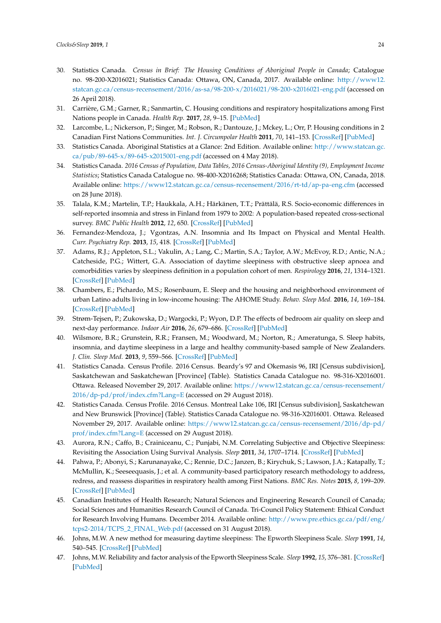- <span id="page-11-0"></span>30. Statistics Canada. *Census in Brief: The Housing Conditions of Aboriginal People in Canada*; Catalogue no. 98-200-X2016021; Statistics Canada: Ottawa, ON, Canada, 2017. Available online: [http://www12.](http://www12.statcan.gc.ca/census-recensement/2016/as-sa/98-200-x/2016021/98-200-x2016021-eng.pdf) [statcan.gc.ca/census-recensement/2016/as-sa/98-200-x/2016021/98-200-x2016021-eng.pdf](http://www12.statcan.gc.ca/census-recensement/2016/as-sa/98-200-x/2016021/98-200-x2016021-eng.pdf) (accessed on 26 April 2018).
- <span id="page-11-1"></span>31. Carrière, G.M.; Garner, R.; Sanmartin, C. Housing conditions and respiratory hospitalizations among First Nations people in Canada. *Health Rep.* **2017**, *28*, 9–15. [\[PubMed\]](http://www.ncbi.nlm.nih.gov/pubmed/28422268)
- <span id="page-11-2"></span>32. Larcombe, L.; Nickerson, P.; Singer, M.; Robson, R.; Dantouze, J.; Mckey, L.; Orr, P. Housing conditions in 2 Canadian First Nations Communities. *Int. J. Circumpolar Health* **2011**, *70*, 141–153. [\[CrossRef\]](http://dx.doi.org/10.3402/ijch.v70i2.17806) [\[PubMed\]](http://www.ncbi.nlm.nih.gov/pubmed/21524357)
- <span id="page-11-3"></span>33. Statistics Canada. Aboriginal Statistics at a Glance: 2nd Edition. Available online: [http://www.statcan.gc.](http://www.statcan.gc.ca/pub/89-645-x/89-645-x2015001-eng.pdf) [ca/pub/89-645-x/89-645-x2015001-eng.pdf](http://www.statcan.gc.ca/pub/89-645-x/89-645-x2015001-eng.pdf) (accessed on 4 May 2018).
- <span id="page-11-4"></span>34. Statistics Canada. *2016 Census of Population, Data Tables, 2016 Census-Aboriginal Identity (9), Employment Income Statistics*; Statistics Canada Catalogue no. 98-400-X2016268; Statistics Canada: Ottawa, ON, Canada, 2018. Available online: <https://www12.statcan.gc.ca/census-recensement/2016/rt-td/ap-pa-eng.cfm> (accessed on 28 June 2018).
- <span id="page-11-5"></span>35. Talala, K.M.; Martelin, T.P.; Haukkala, A.H.; Härkänen, T.T.; Prättälä, R.S. Socio-economic differences in self-reported insomnia and stress in Finland from 1979 to 2002: A population-based repeated cross-sectional survey. *BMC Public Health* **2012**, *12*, 650. [\[CrossRef\]](http://dx.doi.org/10.1186/1471-2458-12-650) [\[PubMed\]](http://www.ncbi.nlm.nih.gov/pubmed/22889044)
- <span id="page-11-6"></span>36. Fernandez-Mendoza, J.; Vgontzas, A.N. Insomnia and Its Impact on Physical and Mental Health. *Curr. Psychiatry Rep.* **2013**, *15*, 418. [\[CrossRef\]](http://dx.doi.org/10.1007/s11920-013-0418-8) [\[PubMed\]](http://www.ncbi.nlm.nih.gov/pubmed/24189774)
- <span id="page-11-7"></span>37. Adams, R.J.; Appleton, S.L.; Vakulin, A.; Lang, C.; Martin, S.A.; Taylor, A.W.; McEvoy, R.D.; Antic, N.A.; Catcheside, P.G.; Wittert, G.A. Association of daytime sleepiness with obstructive sleep apnoea and comorbidities varies by sleepiness definition in a population cohort of men. *Respirology* **2016**, *21*, 1314–1321. [\[CrossRef\]](http://dx.doi.org/10.1111/resp.12829) [\[PubMed\]](http://www.ncbi.nlm.nih.gov/pubmed/27312673)
- <span id="page-11-8"></span>38. Chambers, E.; Pichardo, M.S.; Rosenbaum, E. Sleep and the housing and neighborhood environment of urban Latino adults living in low-income housing: The AHOME Study. *Behav. Sleep Med.* **2016**, *14*, 169–184. [\[CrossRef\]](http://dx.doi.org/10.1080/15402002.2014.974180) [\[PubMed\]](http://www.ncbi.nlm.nih.gov/pubmed/25386692)
- <span id="page-11-9"></span>39. Strøm-Tejsen, P.; Zukowska, D.; Wargocki, P.; Wyon, D.P. The effects of bedroom air quality on sleep and next-day performance. *Indoor Air* **2016**, *26*, 679–686. [\[CrossRef\]](http://dx.doi.org/10.1111/ina.12254) [\[PubMed\]](http://www.ncbi.nlm.nih.gov/pubmed/26452168)
- <span id="page-11-10"></span>40. Wilsmore, B.R.; Grunstein, R.R.; Fransen, M.; Woodward, M.; Norton, R.; Ameratunga, S. Sleep habits, insomnia, and daytime sleepiness in a large and healthy community-based sample of New Zealanders. *J. Clin. Sleep Med.* **2013**, *9*, 559–566. [\[CrossRef\]](http://dx.doi.org/10.5664/jcsm.2750) [\[PubMed\]](http://www.ncbi.nlm.nih.gov/pubmed/23772189)
- <span id="page-11-11"></span>41. Statistics Canada. Census Profile. 2016 Census. Beardy's 97 and Okemasis 96, IRI [Census subdivision], Saskatchewan and Saskatchewan [Province] (Table). Statistics Canada Catalogue no. 98-316-X2016001. Ottawa. Released November 29, 2017. Available online: [https://www12.statcan.gc.ca/census-recensement/](https://www12.statcan.gc.ca/census-recensement/2016/dp-pd/prof/index.cfm?Lang=E) [2016/dp-pd/prof/index.cfm?Lang=E](https://www12.statcan.gc.ca/census-recensement/2016/dp-pd/prof/index.cfm?Lang=E) (accessed on 29 August 2018).
- <span id="page-11-12"></span>42. Statistics Canada. Census Profile. 2016 Census. Montreal Lake 106, IRI [Census subdivision], Saskatchewan and New Brunswick [Province] (Table). Statistics Canada Catalogue no. 98-316-X2016001. Ottawa. Released November 29, 2017. Available online: [https://www12.statcan.gc.ca/census-recensement/2016/dp-pd/](https://www12.statcan.gc.ca/census-recensement/2016/dp-pd/prof/index.cfm?Lang=E) [prof/index.cfm?Lang=E](https://www12.statcan.gc.ca/census-recensement/2016/dp-pd/prof/index.cfm?Lang=E) (accessed on 29 August 2018).
- <span id="page-11-13"></span>43. Aurora, R.N.; Caffo, B.; Crainiceanu, C.; Punjabi, N.M. Correlating Subjective and Objective Sleepiness: Revisiting the Association Using Survival Analysis. *Sleep* **2011**, *34*, 1707–1714. [\[CrossRef\]](http://dx.doi.org/10.5665/sleep.1442) [\[PubMed\]](http://www.ncbi.nlm.nih.gov/pubmed/22131609)
- <span id="page-11-14"></span>44. Pahwa, P.; Abonyi, S.; Karunanayake, C.; Rennie, D.C.; Janzen, B.; Kirychuk, S.; Lawson, J.A.; Katapally, T.; McMullin, K.; Seeseequasis, J.; et al. A community-based participatory research methodology to address, redress, and reassess disparities in respiratory health among First Nations. *BMC Res. Notes* **2015**, *8*, 199–209. [\[CrossRef\]](http://dx.doi.org/10.1186/s13104-015-1137-5) [\[PubMed\]](http://www.ncbi.nlm.nih.gov/pubmed/25981585)
- <span id="page-11-15"></span>45. Canadian Institutes of Health Research; Natural Sciences and Engineering Research Council of Canada; Social Sciences and Humanities Research Council of Canada. Tri-Council Policy Statement: Ethical Conduct for Research Involving Humans. December 2014. Available online: [http://www.pre.ethics.gc.ca/pdf/eng/](http://www.pre.ethics.gc.ca/pdf/eng/tcps2-2014/TCPS_2_FINAL_Web.pdf) [tcps2-2014/TCPS\\_2\\_FINAL\\_Web.pdf](http://www.pre.ethics.gc.ca/pdf/eng/tcps2-2014/TCPS_2_FINAL_Web.pdf) (accessed on 31 August 2018).
- <span id="page-11-16"></span>46. Johns, M.W. A new method for measuring daytime sleepiness: The Epworth Sleepiness Scale. *Sleep* **1991**, *14*, 540–545. [\[CrossRef\]](http://dx.doi.org/10.1093/sleep/14.6.540) [\[PubMed\]](http://www.ncbi.nlm.nih.gov/pubmed/1798888)
- 47. Johns, M.W. Reliability and factor analysis of the Epworth Sleepiness Scale. *Sleep* **1992**, *15*, 376–381. [\[CrossRef\]](http://dx.doi.org/10.1093/sleep/15.4.376) [\[PubMed\]](http://www.ncbi.nlm.nih.gov/pubmed/1519015)